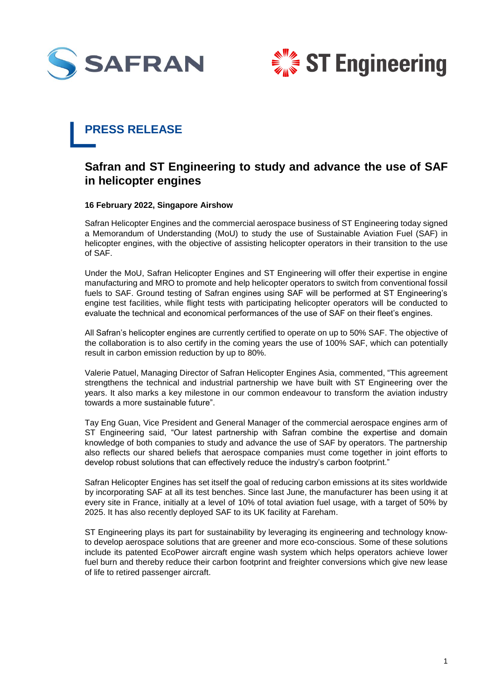



## **PRESS RELEASE**

## **Safran and ST Engineering to study and advance the use of SAF in helicopter engines**

## **16 February 2022, Singapore Airshow**

Safran Helicopter Engines and the commercial aerospace business of ST Engineering today signed a Memorandum of Understanding (MoU) to study the use of Sustainable Aviation Fuel (SAF) in helicopter engines, with the objective of assisting helicopter operators in their transition to the use of SAF.

Under the MoU, Safran Helicopter Engines and ST Engineering will offer their expertise in engine manufacturing and MRO to promote and help helicopter operators to switch from conventional fossil fuels to SAF. Ground testing of Safran engines using SAF will be performed at ST Engineering's engine test facilities, while flight tests with participating helicopter operators will be conducted to evaluate the technical and economical performances of the use of SAF on their fleet's engines.

All Safran's helicopter engines are currently certified to operate on up to 50% SAF. The objective of the collaboration is to also certify in the coming years the use of 100% SAF, which can potentially result in carbon emission reduction by up to 80%.

Valerie Patuel, Managing Director of Safran Helicopter Engines Asia, commented, "This agreement strengthens the technical and industrial partnership we have built with ST Engineering over the years. It also marks a key milestone in our common endeavour to transform the aviation industry towards a more sustainable future".

Tay Eng Guan, Vice President and General Manager of the commercial aerospace engines arm of ST Engineering said, "Our latest partnership with Safran combine the expertise and domain knowledge of both companies to study and advance the use of SAF by operators. The partnership also reflects our shared beliefs that aerospace companies must come together in joint efforts to develop robust solutions that can effectively reduce the industry's carbon footprint."

Safran Helicopter Engines has set itself the goal of reducing carbon emissions at its sites worldwide by incorporating SAF at all its test benches. Since last June, the manufacturer has been using it at every site in France, initially at a level of 10% of total aviation fuel usage, with a target of 50% by 2025. It has also recently deployed SAF to its UK facility at Fareham.

ST Engineering plays its part for sustainability by leveraging its engineering and technology knowto develop aerospace solutions that are greener and more eco-conscious. Some of these solutions include its patented EcoPower aircraft engine wash system which helps operators achieve lower fuel burn and thereby reduce their carbon footprint and freighter conversions which give new lease of life to retired passenger aircraft.